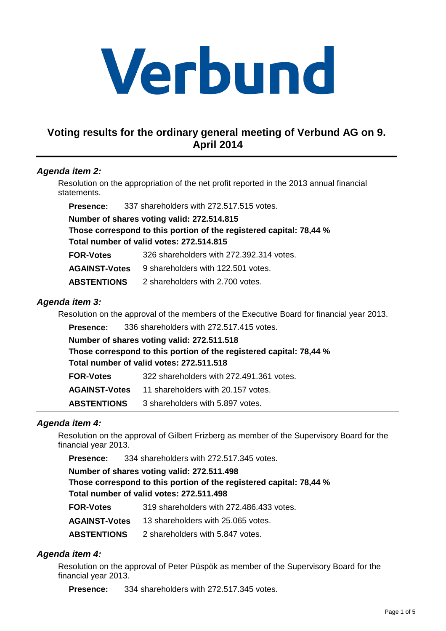# Verbund

# **Voting results for the ordinary general meeting of Verbund AG on 9. April 2014**

# **Agenda item 2:**

Resolution on the appropriation of the net profit reported in the 2013 annual financial statements.

**Presence:** 337 shareholders with 272.517.515 votes.

**Number of shares voting valid: 272.514.815**

**Those correspond to this portion of the registered capital: 78,44 % Total number of valid votes: 272.514.815**

**FOR-Votes** 326 shareholders with 272.392.314 votes.

**AGAINST-Votes** 9 shareholders with 122.501 votes.

**ABSTENTIONS** 2 shareholders with 2.700 votes.

# **Agenda item 3:**

Resolution on the approval of the members of the Executive Board for financial year 2013.

**Presence:** 336 shareholders with 272.517.415 votes.

| Number of shares voting valid: 272.511.518                          |
|---------------------------------------------------------------------|
| Those correspond to this portion of the registered capital: 78,44 % |
| Total number of valid votes: 272.511.518                            |
| 322 shareholders with 272.491.361 votes.                            |
| 11 shareholders with 20.157 votes.                                  |
|                                                                     |

**ABSTENTIONS** 3 shareholders with 5.897 votes.

# **Agenda item 4:**

Resolution on the approval of Gilbert Frizberg as member of the Supervisory Board for the financial year 2013.

**Presence:** 334 shareholders with 272.517.345 votes.

**Number of shares voting valid: 272.511.498 Those correspond to this portion of the registered capital: 78,44 % Total number of valid votes: 272.511.498**

| <b>FOR-Votes</b>     | 319 shareholders with 272,486,433 votes. |
|----------------------|------------------------------------------|
| <b>AGAINST-Votes</b> | 13 shareholders with 25.065 votes.       |
| <b>ABSTENTIONS</b>   | 2 shareholders with 5.847 votes.         |

# **Agenda item 4:**

Resolution on the approval of Peter Püspök as member of the Supervisory Board for the financial year 2013.

**Presence:** 334 shareholders with 272.517.345 votes.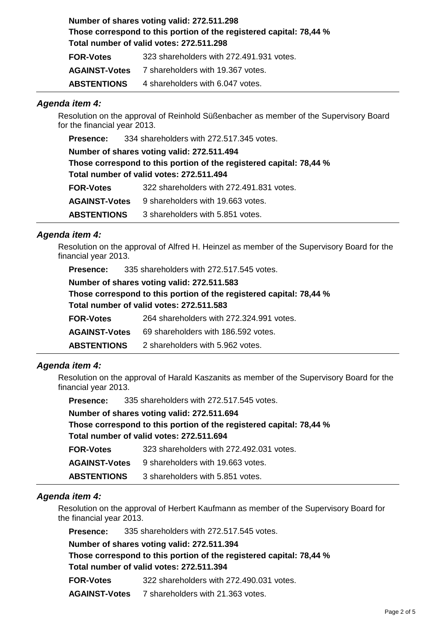**Number of shares voting valid: 272.511.298 Those correspond to this portion of the registered capital: 78,44 % Total number of valid votes: 272.511.298 FOR-Votes** 323 shareholders with 272.491.931 votes.

|                      | <u>020 01101 011010010 111111 21 21 10 1100 1 1010</u> |
|----------------------|--------------------------------------------------------|
| <b>AGAINST-Votes</b> | 7 shareholders with 19.367 votes.                      |
| <b>ABSTENTIONS</b>   | 4 shareholders with 6.047 votes.                       |

### **Agenda item 4:**

Resolution on the approval of Reinhold Süßenbacher as member of the Supervisory Board for the financial year 2013.

**Presence:** 334 shareholders with 272.517.345 votes.

**Number of shares voting valid: 272.511.494 Those correspond to this portion of the registered capital: 78,44 % Total number of valid votes: 272.511.494 FOR-Votes** 322 shareholders with 272.491.831 votes.

**AGAINST-Votes** 9 shareholders with 19.663 votes.

**ABSTENTIONS** 3 shareholders with 5.851 votes.

### **Agenda item 4:**

Resolution on the approval of Alfred H. Heinzel as member of the Supervisory Board for the financial year 2013.

| <b>Presence:</b>     | 335 shareholders with 272.517.545 votes.                            |
|----------------------|---------------------------------------------------------------------|
|                      | Number of shares voting valid: 272.511.583                          |
|                      | Those correspond to this portion of the registered capital: 78,44 % |
|                      | Total number of valid votes: 272.511.583                            |
| <b>FOR-Votes</b>     | 264 shareholders with 272.324.991 votes.                            |
| <b>AGAINST-Votes</b> | 69 shareholders with 186.592 votes.                                 |
| <b>ABSTENTIONS</b>   | 2 shareholders with 5.962 votes.                                    |

### **Agenda item 4:**

Resolution on the approval of Harald Kaszanits as member of the Supervisory Board for the financial year 2013.

**Presence:** 335 shareholders with 272.517.545 votes.

|                      | Number of shares voting valid: 272.511.694                          |
|----------------------|---------------------------------------------------------------------|
|                      | Those correspond to this portion of the registered capital: 78,44 % |
|                      | Total number of valid votes: 272.511.694                            |
| <b>FOR-Votes</b>     | 323 shareholders with 272.492.031 votes.                            |
| <b>AGAINST-Votes</b> | 9 shareholders with 19.663 votes.                                   |
| <b>ABSTENTIONS</b>   | 3 shareholders with 5.851 votes.                                    |

### **Agenda item 4:**

Resolution on the approval of Herbert Kaufmann as member of the Supervisory Board for the financial year 2013.

**Presence:** 335 shareholders with 272.517.545 votes.

**Number of shares voting valid: 272.511.394**

**Those correspond to this portion of the registered capital: 78,44 % Total number of valid votes: 272.511.394**

**FOR-Votes** 322 shareholders with 272.490.031 votes.

**AGAINST-Votes** 7 shareholders with 21.363 votes.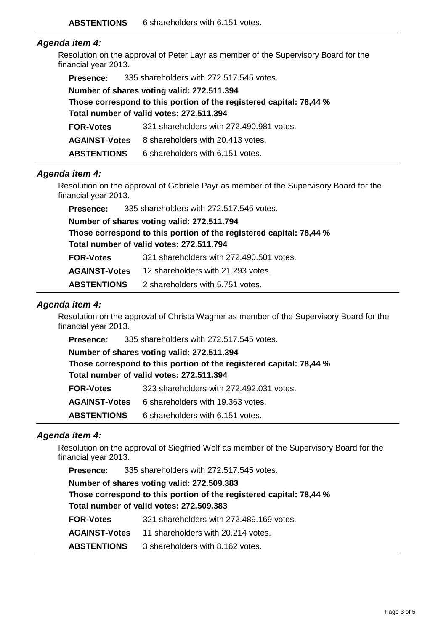# **Agenda item 4:**

Resolution on the approval of Peter Layr as member of the Supervisory Board for the financial year 2013.

| <b>Presence:</b>     | 335 shareholders with 272.517.545 votes.                            |
|----------------------|---------------------------------------------------------------------|
|                      | Number of shares voting valid: 272.511.394                          |
|                      | Those correspond to this portion of the registered capital: 78,44 % |
|                      | Total number of valid votes: 272.511.394                            |
| <b>FOR-Votes</b>     | 321 shareholders with 272.490.981 votes.                            |
| <b>AGAINST-Votes</b> | 8 shareholders with 20.413 votes.                                   |
| <b>ABSTENTIONS</b>   | 6 shareholders with 6.151 votes.                                    |

### **Agenda item 4:**

Resolution on the approval of Gabriele Payr as member of the Supervisory Board for the financial year 2013.

**Presence:** 335 shareholders with 272.517.545 votes.

**Number of shares voting valid: 272.511.794**

**Those correspond to this portion of the registered capital: 78,44 % Total number of valid votes: 272.511.794**

| <b>FOR-Votes</b> | 321 shareholders with 272.490.501 votes. |
|------------------|------------------------------------------|
|                  |                                          |

**AGAINST-Votes** 12 shareholders with 21.293 votes.

**ABSTENTIONS** 2 shareholders with 5.751 votes.

### **Agenda item 4:**

Resolution on the approval of Christa Wagner as member of the Supervisory Board for the financial year 2013.

**Presence:** 335 shareholders with 272.517.545 votes.

**Number of shares voting valid: 272.511.394**

**Those correspond to this portion of the registered capital: 78,44 % Total number of valid votes: 272.511.394**

**FOR-Votes** 323 shareholders with 272.492.031 votes.

**AGAINST-Votes** 6 shareholders with 19.363 votes.

**ABSTENTIONS** 6 shareholders with 6.151 votes.

### **Agenda item 4:**

Resolution on the approval of Siegfried Wolf as member of the Supervisory Board for the financial year 2013.

**Presence:** 335 shareholders with 272.517.545 votes. **Number of shares voting valid: 272.509.383 Those correspond to this portion of the registered capital: 78,44 % Total number of valid votes: 272.509.383**

**FOR-Votes** 321 shareholders with 272.489.169 votes.

**AGAINST-Votes** 11 shareholders with 20.214 votes.

**ABSTENTIONS** 3 shareholders with 8.162 votes.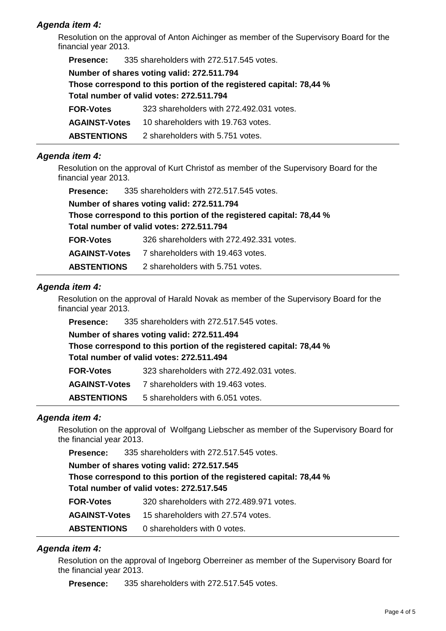## **Agenda item 4:**

Resolution on the approval of Anton Aichinger as member of the Supervisory Board for the financial year 2013.

| <b>Presence:</b>                                                    | 335 shareholders with 272.517.545 votes. |  |
|---------------------------------------------------------------------|------------------------------------------|--|
| Number of shares voting valid: 272.511.794                          |                                          |  |
| Those correspond to this portion of the registered capital: 78,44 % |                                          |  |
|                                                                     | Total number of valid votes: 272.511.794 |  |
| <b>FOR-Votes</b>                                                    | 323 shareholders with 272.492.031 votes. |  |
| <b>AGAINST-Votes</b>                                                | 10 shareholders with 19.763 votes.       |  |
| <b>ABSTENTIONS</b>                                                  | 2 shareholders with 5.751 votes.         |  |

### **Agenda item 4:**

Resolution on the approval of Kurt Christof as member of the Supervisory Board for the financial year 2013.

| <b>Presence:</b>   | 335 shareholders with 272.517.545 votes.                            |
|--------------------|---------------------------------------------------------------------|
|                    | Number of shares voting valid: 272.511.794                          |
|                    | Those correspond to this portion of the registered capital: 78,44 % |
|                    | Total number of valid votes: 272.511.794                            |
| <b>FOR-Votes</b>   | 326 shareholders with 272.492.331 votes.                            |
|                    | <b>AGAINST-Votes</b> 7 shareholders with 19.463 votes.              |
| <b>ABSTENTIONS</b> | 2 shareholders with 5.751 votes.                                    |

### **Agenda item 4:**

Resolution on the approval of Harald Novak as member of the Supervisory Board for the financial year 2013.

**Presence:** 335 shareholders with 272.517.545 votes.

**Number of shares voting valid: 272.511.494 Those correspond to this portion of the registered capital: 78,44 % Total number of valid votes: 272.511.494 FOR-Votes** 323 shareholders with 272.492.031 votes.

**AGAINST-Votes** 7 shareholders with 19.463 votes.

**ABSTENTIONS** 5 shareholders with 6.051 votes.

### **Agenda item 4:**

Resolution on the approval of Wolfgang Liebscher as member of the Supervisory Board for the financial year 2013.

**Presence:** 335 shareholders with 272.517.545 votes.

# **Number of shares voting valid: 272.517.545 Those correspond to this portion of the registered capital: 78,44 % Total number of valid votes: 272.517.545 FOR-Votes** 320 shareholders with 272.489.971 votes.

**AGAINST-Votes** 15 shareholders with 27.574 votes.

**ABSTENTIONS** 0 shareholders with 0 votes.

# **Agenda item 4:**

Resolution on the approval of Ingeborg Oberreiner as member of the Supervisory Board for the financial year 2013.

**Presence:** 335 shareholders with 272.517.545 votes.